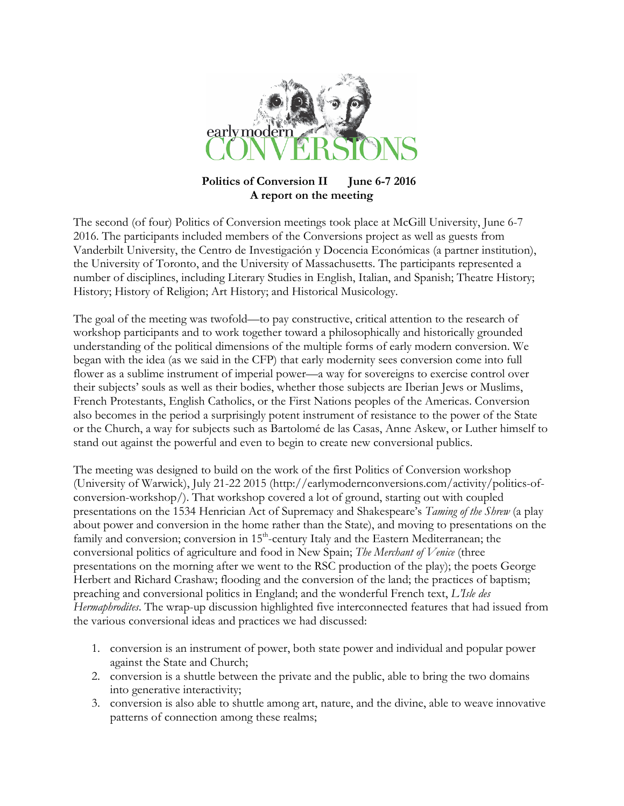

## **Politics of Conversion II June 6-7 2016 A report on the meeting**

The second (of four) Politics of Conversion meetings took place at McGill University, June 6-7 2016. The participants included members of the Conversions project as well as guests from Vanderbilt University, the Centro de Investigación y Docencia Económicas (a partner institution), the University of Toronto, and the University of Massachusetts. The participants represented a number of disciplines, including Literary Studies in English, Italian, and Spanish; Theatre History; History; History of Religion; Art History; and Historical Musicology.

The goal of the meeting was twofold—to pay constructive, critical attention to the research of workshop participants and to work together toward a philosophically and historically grounded understanding of the political dimensions of the multiple forms of early modern conversion. We began with the idea (as we said in the CFP) that early modernity sees conversion come into full flower as a sublime instrument of imperial power—a way for sovereigns to exercise control over their subjects' souls as well as their bodies, whether those subjects are Iberian Jews or Muslims, French Protestants, English Catholics, or the First Nations peoples of the Americas. Conversion also becomes in the period a surprisingly potent instrument of resistance to the power of the State or the Church, a way for subjects such as Bartolomé de las Casas, Anne Askew, or Luther himself to stand out against the powerful and even to begin to create new conversional publics.

The meeting was designed to build on the work of the first Politics of Conversion workshop (University of Warwick), July 21-22 2015 (http://earlymodernconversions.com/activity/politics-ofconversion-workshop/). That workshop covered a lot of ground, starting out with coupled presentations on the 1534 Henrician Act of Supremacy and Shakespeare's *Taming of the Shrew* (a play about power and conversion in the home rather than the State), and moving to presentations on the family and conversion; conversion in 15<sup>th</sup>-century Italy and the Eastern Mediterranean; the conversional politics of agriculture and food in New Spain; *The Merchant of Venice* (three presentations on the morning after we went to the RSC production of the play); the poets George Herbert and Richard Crashaw; flooding and the conversion of the land; the practices of baptism; preaching and conversional politics in England; and the wonderful French text, *L'Isle des Hermaphrodites*. The wrap-up discussion highlighted five interconnected features that had issued from the various conversional ideas and practices we had discussed:

- 1. conversion is an instrument of power, both state power and individual and popular power against the State and Church;
- 2. conversion is a shuttle between the private and the public, able to bring the two domains into generative interactivity;
- 3. conversion is also able to shuttle among art, nature, and the divine, able to weave innovative patterns of connection among these realms;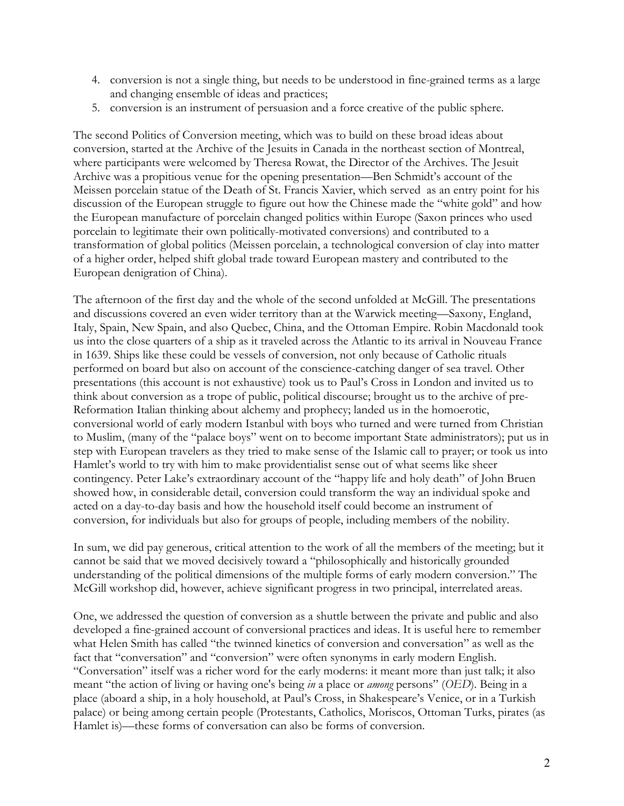- 4. conversion is not a single thing, but needs to be understood in fine-grained terms as a large and changing ensemble of ideas and practices;
- 5. conversion is an instrument of persuasion and a force creative of the public sphere.

The second Politics of Conversion meeting, which was to build on these broad ideas about conversion, started at the Archive of the Jesuits in Canada in the northeast section of Montreal, where participants were welcomed by Theresa Rowat, the Director of the Archives. The Jesuit Archive was a propitious venue for the opening presentation—Ben Schmidt's account of the Meissen porcelain statue of the Death of St. Francis Xavier, which served as an entry point for his discussion of the European struggle to figure out how the Chinese made the "white gold" and how the European manufacture of porcelain changed politics within Europe (Saxon princes who used porcelain to legitimate their own politically-motivated conversions) and contributed to a transformation of global politics (Meissen porcelain, a technological conversion of clay into matter of a higher order, helped shift global trade toward European mastery and contributed to the European denigration of China).

The afternoon of the first day and the whole of the second unfolded at McGill. The presentations and discussions covered an even wider territory than at the Warwick meeting—Saxony, England, Italy, Spain, New Spain, and also Quebec, China, and the Ottoman Empire. Robin Macdonald took us into the close quarters of a ship as it traveled across the Atlantic to its arrival in Nouveau France in 1639. Ships like these could be vessels of conversion, not only because of Catholic rituals performed on board but also on account of the conscience-catching danger of sea travel. Other presentations (this account is not exhaustive) took us to Paul's Cross in London and invited us to think about conversion as a trope of public, political discourse; brought us to the archive of pre-Reformation Italian thinking about alchemy and prophecy; landed us in the homoerotic, conversional world of early modern Istanbul with boys who turned and were turned from Christian to Muslim, (many of the "palace boys" went on to become important State administrators); put us in step with European travelers as they tried to make sense of the Islamic call to prayer; or took us into Hamlet's world to try with him to make providentialist sense out of what seems like sheer contingency. Peter Lake's extraordinary account of the "happy life and holy death" of John Bruen showed how, in considerable detail, conversion could transform the way an individual spoke and acted on a day-to-day basis and how the household itself could become an instrument of conversion, for individuals but also for groups of people, including members of the nobility.

In sum, we did pay generous, critical attention to the work of all the members of the meeting; but it cannot be said that we moved decisively toward a "philosophically and historically grounded understanding of the political dimensions of the multiple forms of early modern conversion." The McGill workshop did, however, achieve significant progress in two principal, interrelated areas.

One, we addressed the question of conversion as a shuttle between the private and public and also developed a fine-grained account of conversional practices and ideas. It is useful here to remember what Helen Smith has called "the twinned kinetics of conversion and conversation" as well as the fact that "conversation" and "conversion" were often synonyms in early modern English. "Conversation" itself was a richer word for the early moderns: it meant more than just talk; it also meant "the action of living or having one's being *in* a place or *among* persons" (*OED*). Being in a place (aboard a ship, in a holy household, at Paul's Cross, in Shakespeare's Venice, or in a Turkish palace) or being among certain people (Protestants, Catholics, Moriscos, Ottoman Turks, pirates (as Hamlet is)—these forms of conversation can also be forms of conversion.